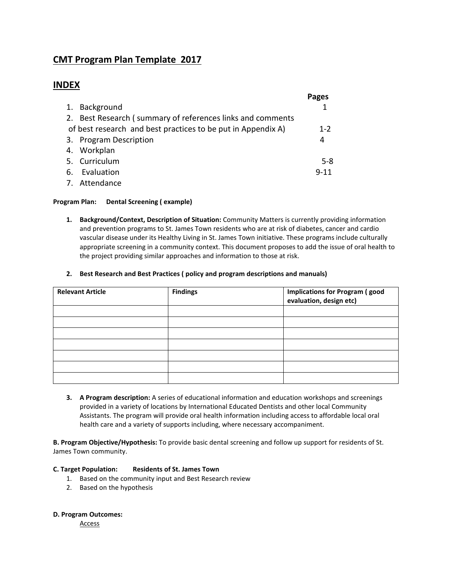## **CMT Program Plan Template 2017**

## **INDEX**

|                                                              | <b>Pages</b> |
|--------------------------------------------------------------|--------------|
| 1. Background                                                |              |
| 2. Best Research (summary of references links and comments   |              |
| of best research and best practices to be put in Appendix A) | $1 - 2$      |
| 3. Program Description                                       | 4            |
| 4. Workplan                                                  |              |
| 5. Curriculum                                                | $5-8$        |
| Evaluation<br>6.                                             | $9 - 11$     |
| 7. Attendance                                                |              |

### **Program Plan: Dental Screening ( example)**

**1. Background/Context, Description of Situation:** Community Matters is currently providing information and prevention programs to St. James Town residents who are at risk of diabetes, cancer and cardio vascular disease under its Healthy Living in St. James Town initiative. These programs include culturally appropriate screening in a community context. This document proposes to add the issue of oral health to the project providing similar approaches and information to those at risk.

### **2. Best Research and Best Practices ( policy and program descriptions and manuals)**

| <b>Relevant Article</b> | <b>Findings</b> | <b>Implications for Program (good</b><br>evaluation, design etc) |
|-------------------------|-----------------|------------------------------------------------------------------|
|                         |                 |                                                                  |
|                         |                 |                                                                  |
|                         |                 |                                                                  |
|                         |                 |                                                                  |
|                         |                 |                                                                  |
|                         |                 |                                                                  |
|                         |                 |                                                                  |

**3. A Program description:** A series of educational information and education workshops and screenings provided in a variety of locations by International Educated Dentists and other local Community Assistants. The program will provide oral health information including access to affordable local oral health care and a variety of supports including, where necessary accompaniment.

**B. Program Objective/Hypothesis:** To provide basic dental screening and follow up support for residents of St. James Town community.

#### **C. Target Population: Residents of St. James Town**

- 1. Based on the community input and Best Research review
- 2. Based on the hypothesis

#### **D. Program Outcomes:**

Access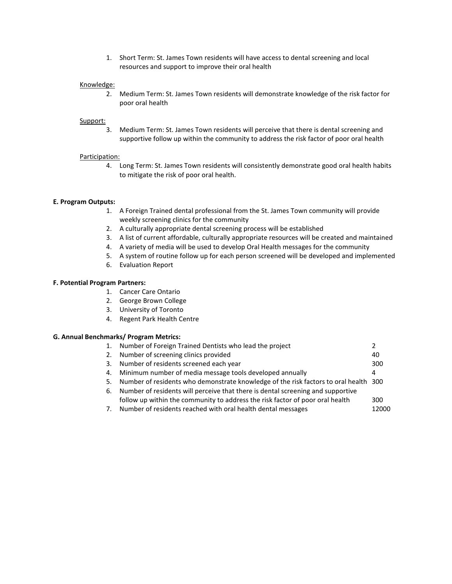1. Short Term: St. James Town residents will have access to dental screening and local resources and support to improve their oral health

### Knowledge:

2. Medium Term: St. James Town residents will demonstrate knowledge of the risk factor for poor oral health

### Support:

3. Medium Term: St. James Town residents will perceive that there is dental screening and supportive follow up within the community to address the risk factor of poor oral health

### Participation:

4. Long Term: St. James Town residents will consistently demonstrate good oral health habits to mitigate the risk of poor oral health.

### **E. Program Outputs:**

- 1. A Foreign Trained dental professional from the St. James Town community will provide weekly screening clinics for the community
- 2. A culturally appropriate dental screening process will be established
- 3. A list of current affordable, culturally appropriate resources will be created and maintained
- 4. A variety of media will be used to develop Oral Health messages for the community
- 5. A system of routine follow up for each person screened will be developed and implemented
- 6. Evaluation Report

#### **F. Potential Program Partners:**

- 1. Cancer Care Ontario
- 2. George Brown College
- 3. University of Toronto
- 4. Regent Park Health Centre

#### **G. Annual Benchmarks/ Program Metrics:**

|    | Number of Foreign Trained Dentists who lead the project                              |       |
|----|--------------------------------------------------------------------------------------|-------|
|    | 2. Number of screening clinics provided                                              | 40    |
|    | 3. Number of residents screened each year                                            | 300   |
| 4. | Minimum number of media message tools developed annually                             | 4     |
| 5. | Number of residents who demonstrate knowledge of the risk factors to oral health 300 |       |
| 6. | Number of residents will perceive that there is dental screening and supportive      |       |
|    | follow up within the community to address the risk factor of poor oral health        | 300   |
| 7. | Number of residents reached with oral health dental messages                         | 12000 |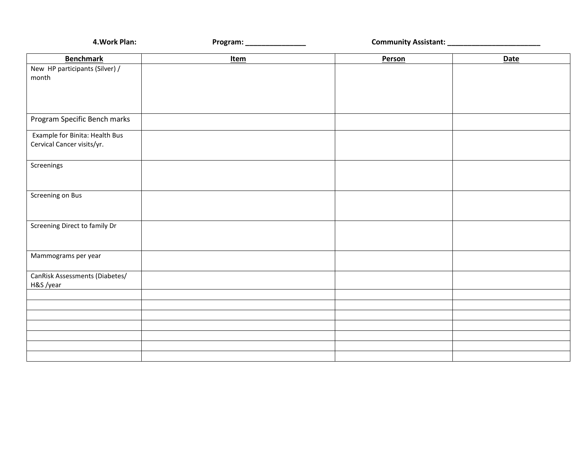| <b>Benchmark</b>               | <b>Item</b> | Person | <b>Date</b> |
|--------------------------------|-------------|--------|-------------|
| New HP participants (Silver) / |             |        |             |
| month                          |             |        |             |
|                                |             |        |             |
|                                |             |        |             |
|                                |             |        |             |
|                                |             |        |             |
| Program Specific Bench marks   |             |        |             |
|                                |             |        |             |
| Example for Binita: Health Bus |             |        |             |
| Cervical Cancer visits/yr.     |             |        |             |
|                                |             |        |             |
|                                |             |        |             |
| Screenings                     |             |        |             |
|                                |             |        |             |
|                                |             |        |             |
| Screening on Bus               |             |        |             |
|                                |             |        |             |
|                                |             |        |             |
|                                |             |        |             |
| Screening Direct to family Dr  |             |        |             |
|                                |             |        |             |
|                                |             |        |             |
|                                |             |        |             |
| Mammograms per year            |             |        |             |
|                                |             |        |             |
| CanRisk Assessments (Diabetes/ |             |        |             |
| H&S /year                      |             |        |             |
|                                |             |        |             |
|                                |             |        |             |
|                                |             |        |             |
|                                |             |        |             |
|                                |             |        |             |
|                                |             |        |             |
|                                |             |        |             |
|                                |             |        |             |
|                                |             |        |             |

**4.Work Plan: Program: \_\_\_\_\_\_\_\_\_\_\_\_\_\_\_ Community Assistant: \_\_\_\_\_\_\_\_\_\_\_\_\_\_\_\_\_\_\_\_\_\_\_**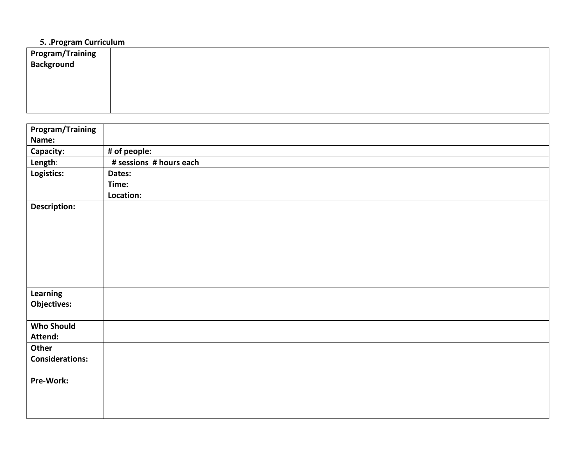## **5. .Program Curriculum**

| <b>Program/Training</b><br><b>Background</b> |  |
|----------------------------------------------|--|
|                                              |  |
|                                              |  |

| <b>Program/Training</b> |                         |
|-------------------------|-------------------------|
| Name:                   |                         |
| Capacity:               | # of people:            |
| Length:                 | # sessions # hours each |
| Logistics:              | Dates:                  |
|                         | Time:                   |
|                         | Location:               |
| <b>Description:</b>     |                         |
|                         |                         |
|                         |                         |
|                         |                         |
|                         |                         |
|                         |                         |
|                         |                         |
|                         |                         |
| Learning                |                         |
| <b>Objectives:</b>      |                         |
| <b>Who Should</b>       |                         |
| Attend:                 |                         |
| Other                   |                         |
| <b>Considerations:</b>  |                         |
|                         |                         |
| Pre-Work:               |                         |
|                         |                         |
|                         |                         |
|                         |                         |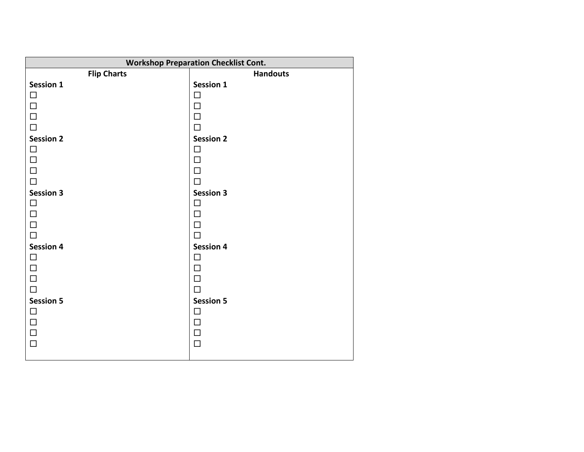| <b>Workshop Preparation Checklist Cont.</b> |                  |  |  |  |  |
|---------------------------------------------|------------------|--|--|--|--|
| <b>Flip Charts</b>                          | <b>Handouts</b>  |  |  |  |  |
| Session 1                                   | Session 1        |  |  |  |  |
| $\Box$                                      | $\Box$           |  |  |  |  |
| $\Box$                                      | $\Box$           |  |  |  |  |
| $\Box$                                      | $\Box$           |  |  |  |  |
| $\Box$                                      | $\Box$           |  |  |  |  |
| <b>Session 2</b>                            | <b>Session 2</b> |  |  |  |  |
| $\Box$                                      | $\Box$           |  |  |  |  |
| $\Box$                                      | $\Box$           |  |  |  |  |
| $\Box$                                      | $\Box$           |  |  |  |  |
| $\Box$                                      | $\Box$           |  |  |  |  |
| <b>Session 3</b>                            | <b>Session 3</b> |  |  |  |  |
| $\Box$                                      | $\Box$           |  |  |  |  |
| $\Box$                                      | $\Box$           |  |  |  |  |
| $\Box$                                      | $\Box$           |  |  |  |  |
| $\Box$                                      | $\Box$           |  |  |  |  |
| <b>Session 4</b>                            | <b>Session 4</b> |  |  |  |  |
| $\Box$                                      | $\Box$           |  |  |  |  |
| $\Box$                                      | $\Box$           |  |  |  |  |
| $\Box$                                      | $\Box$           |  |  |  |  |
| $\Box$                                      | $\Box$           |  |  |  |  |
| <b>Session 5</b>                            | <b>Session 5</b> |  |  |  |  |
| $\Box$                                      | $\Box$           |  |  |  |  |
| $\Box$                                      | $\Box$           |  |  |  |  |
| $\Box$                                      | $\Box$           |  |  |  |  |
| $\Box$                                      | $\Box$           |  |  |  |  |
|                                             |                  |  |  |  |  |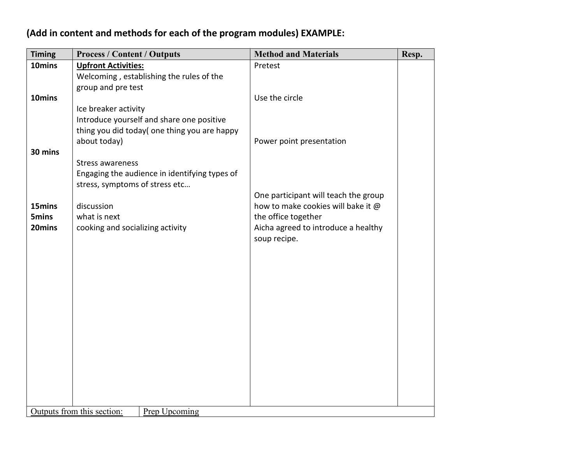# **(Add in content and methods for each of the program modules) EXAMPLE:**

| <b>Timing</b>   | <b>Process / Content / Outputs</b>                 | <b>Method and Materials</b>                         | Resp. |
|-----------------|----------------------------------------------------|-----------------------------------------------------|-------|
| 10mins          | <b>Upfront Activities:</b>                         | Pretest                                             |       |
|                 | Welcoming, establishing the rules of the           |                                                     |       |
|                 | group and pre test                                 |                                                     |       |
| 10mins          |                                                    | Use the circle                                      |       |
|                 | Ice breaker activity                               |                                                     |       |
|                 | Introduce yourself and share one positive          |                                                     |       |
|                 | thing you did today( one thing you are happy       |                                                     |       |
|                 | about today)                                       | Power point presentation                            |       |
| 30 mins         |                                                    |                                                     |       |
|                 | Stress awareness                                   |                                                     |       |
|                 | Engaging the audience in identifying types of      |                                                     |       |
|                 | stress, symptoms of stress etc                     |                                                     |       |
|                 |                                                    | One participant will teach the group                |       |
| 15mins          | discussion                                         | how to make cookies will bake it @                  |       |
| 5mins<br>20mins | what is next                                       | the office together                                 |       |
|                 | cooking and socializing activity                   | Aicha agreed to introduce a healthy<br>soup recipe. |       |
|                 |                                                    |                                                     |       |
|                 |                                                    |                                                     |       |
|                 |                                                    |                                                     |       |
|                 |                                                    |                                                     |       |
|                 |                                                    |                                                     |       |
|                 |                                                    |                                                     |       |
|                 |                                                    |                                                     |       |
|                 |                                                    |                                                     |       |
|                 |                                                    |                                                     |       |
|                 |                                                    |                                                     |       |
|                 |                                                    |                                                     |       |
|                 |                                                    |                                                     |       |
|                 |                                                    |                                                     |       |
|                 |                                                    |                                                     |       |
|                 |                                                    |                                                     |       |
|                 | Outputs from this section:<br><b>Prep Upcoming</b> |                                                     |       |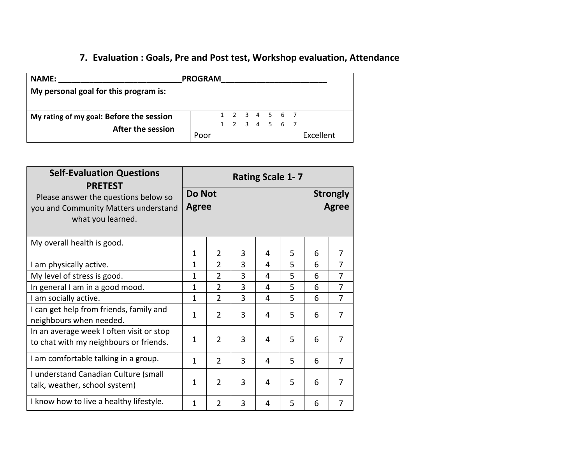# **7. Evaluation : Goals, Pre and Post test, Workshop evaluation, Attendance**

| <b>NAME:</b>                             | <b>PROGRAM</b> |  |               |  |  |  |  |           |
|------------------------------------------|----------------|--|---------------|--|--|--|--|-----------|
| My personal goal for this program is:    |                |  |               |  |  |  |  |           |
|                                          |                |  |               |  |  |  |  |           |
| My rating of my goal: Before the session |                |  | 1 2 3 4 5 6 7 |  |  |  |  |           |
| After the session                        |                |  | 1 2 3 4 5 6 7 |  |  |  |  |           |
|                                          | Poor           |  |               |  |  |  |  | Excellent |

| <b>Self-Evaluation Questions</b><br><b>PRETEST</b>                                                |              |                               |   | <b>Rating Scale 1-7</b> |   |   |                |  |
|---------------------------------------------------------------------------------------------------|--------------|-------------------------------|---|-------------------------|---|---|----------------|--|
| Please answer the questions below so<br>you and Community Matters understand<br>what you learned. |              | <b>Do Not</b><br><b>Agree</b> |   |                         |   |   |                |  |
| My overall health is good.                                                                        | 1            | $\mathcal{P}$                 | 3 | 4                       | 5 | 6 | 7              |  |
| I am physically active.                                                                           | 1            | $\overline{2}$                | 3 | 4                       | 5 | 6 | 7              |  |
| My level of stress is good.                                                                       | 1            | $\overline{2}$                | 3 | 4                       | 5 | 6 | $\overline{7}$ |  |
| In general I am in a good mood.                                                                   | 1            | $\overline{2}$                | 3 | 4                       | 5 | 6 | $\overline{7}$ |  |
| I am socially active.                                                                             | 1            | $\overline{2}$                | 3 | 4                       | 5 | 6 | 7              |  |
| I can get help from friends, family and<br>neighbours when needed.                                | 1            | $\overline{2}$                | 3 | 4                       | 5 | 6 | 7              |  |
| In an average week I often visit or stop<br>to chat with my neighbours or friends.                | 1            | $\overline{2}$                | 3 | 4                       | 5 | 6 | 7              |  |
| I am comfortable talking in a group.                                                              | $\mathbf{1}$ | 2                             | 3 | 4                       | 5 | 6 | 7              |  |
| I understand Canadian Culture (small<br>talk, weather, school system)                             | 1            | $\overline{2}$                | 3 | 4                       | 5 | 6 | 7              |  |
| I know how to live a healthy lifestyle.                                                           | 1            | $\overline{2}$                | 3 | 4                       | 5 | 6 | 7              |  |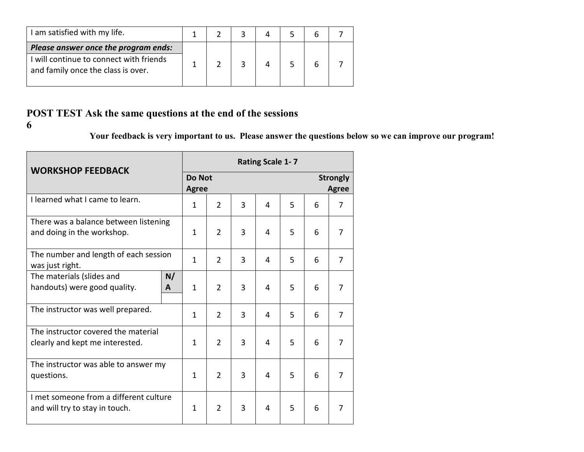| I am satisfied with my life.                                                  |  |  |  |  |
|-------------------------------------------------------------------------------|--|--|--|--|
| Please answer once the program ends:                                          |  |  |  |  |
| I will continue to connect with friends<br>and family once the class is over. |  |  |  |  |

# **POST TEST Ask the same questions at the end of the sessions**

**6**

**Your feedback is very important to us. Please answer the questions below so we can improve our program!**

| <b>WORKSHOP FEEDBACK</b>                                 |                               |                | <b>Rating Scale 1-7</b> |                                 |   |   |                |   |  |  |  |  |  |
|----------------------------------------------------------|-------------------------------|----------------|-------------------------|---------------------------------|---|---|----------------|---|--|--|--|--|--|
|                                                          | <b>Do Not</b><br><b>Agree</b> |                |                         | <b>Strongly</b><br><b>Agree</b> |   |   |                |   |  |  |  |  |  |
| I learned what I came to learn.                          | $\mathbf{1}$                  | $\overline{2}$ | 3                       | 4                               | 5 | 6 | $\overline{7}$ |   |  |  |  |  |  |
| There was a balance between listening                    |                               |                |                         |                                 |   |   |                |   |  |  |  |  |  |
| and doing in the workshop.                               | $\mathbf{1}$                  | $\overline{2}$ | 3                       | 4                               | 5 | 6 | 7              |   |  |  |  |  |  |
| The number and length of each session<br>was just right. | $\mathbf{1}$                  | $\overline{2}$ | 3                       | 4                               | 5 | 6 | $\overline{7}$ |   |  |  |  |  |  |
| N/<br>The materials (slides and                          |                               |                |                         |                                 |   |   |                |   |  |  |  |  |  |
| handouts) were good quality.<br>A                        |                               | $\mathbf{1}$   | $\overline{2}$          | 3                               | 4 | 5 | 6              | 7 |  |  |  |  |  |
| The instructor was well prepared.                        | $\mathbf{1}$                  | $\overline{2}$ | 3                       | 4                               | 5 | 6 | $\overline{7}$ |   |  |  |  |  |  |
| The instructor covered the material                      |                               |                |                         |                                 |   |   |                |   |  |  |  |  |  |
| clearly and kept me interested.                          |                               |                | $\overline{2}$          | 3                               | 4 | 5 | 6              | 7 |  |  |  |  |  |
| The instructor was able to answer my                     |                               |                |                         |                                 |   |   |                |   |  |  |  |  |  |
| questions.                                               |                               |                | 2                       | 3                               | 4 | 5 | 6              | 7 |  |  |  |  |  |
| I met someone from a different culture                   |                               |                |                         |                                 |   |   |                |   |  |  |  |  |  |
| and will try to stay in touch.                           | $\mathbf{1}$                  | $\overline{2}$ | 3                       | 4                               | 5 | 6 | 7              |   |  |  |  |  |  |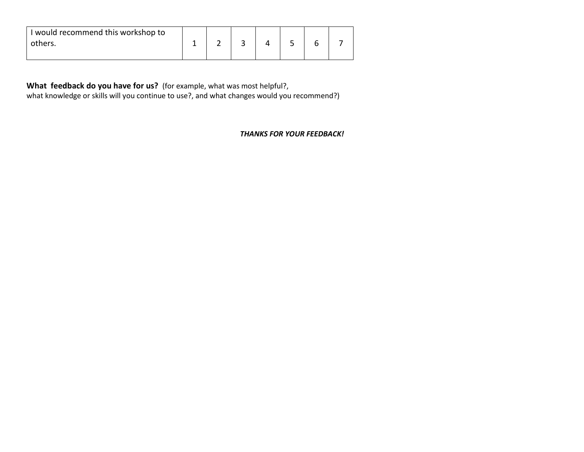| I would recommend this workshop to<br>others. |  |  |  |  |
|-----------------------------------------------|--|--|--|--|
|                                               |  |  |  |  |

**What feedback do you have for us?** (for example, what was most helpful?, what knowledge or skills will you continue to use?, and what changes would you recommend?)

*THANKS FOR YOUR FEEDBACK!*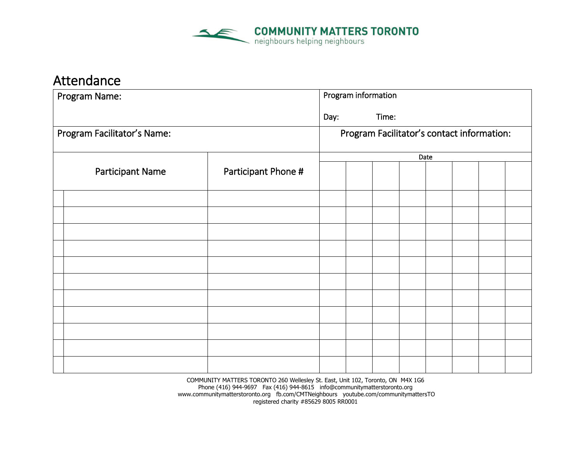

# Attendance

| Program Name:               | Program information                        |  |       |  |  |  |  |  |  |  |
|-----------------------------|--------------------------------------------|--|-------|--|--|--|--|--|--|--|
|                             | Day:                                       |  | Time: |  |  |  |  |  |  |  |
| Program Facilitator's Name: | Program Facilitator's contact information: |  |       |  |  |  |  |  |  |  |
|                             | Date                                       |  |       |  |  |  |  |  |  |  |
| <b>Participant Name</b>     | Participant Phone #                        |  |       |  |  |  |  |  |  |  |
|                             |                                            |  |       |  |  |  |  |  |  |  |
|                             |                                            |  |       |  |  |  |  |  |  |  |
|                             |                                            |  |       |  |  |  |  |  |  |  |
|                             |                                            |  |       |  |  |  |  |  |  |  |
|                             |                                            |  |       |  |  |  |  |  |  |  |
|                             |                                            |  |       |  |  |  |  |  |  |  |
|                             |                                            |  |       |  |  |  |  |  |  |  |
|                             |                                            |  |       |  |  |  |  |  |  |  |
|                             |                                            |  |       |  |  |  |  |  |  |  |
|                             |                                            |  |       |  |  |  |  |  |  |  |
|                             |                                            |  |       |  |  |  |  |  |  |  |

COMMUNITY MATTERS TORONTO 260 Wellesley St. East, Unit 102, Toronto, ON M4X 1G6 Phone (416) 944-9697 Fax (416) 944-8615 info@communitymatterstoronto.org www.communitymatterstoronto.org fb.com/CMTNeighbours youtube.com/communitymattersTO registered charity #85629 8005 RR0001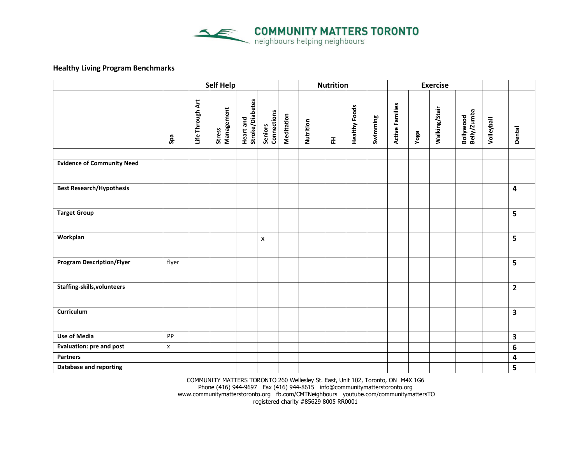

### **Healthy Living Program Benchmarks**

|                                   | <b>Self Help</b>   |                  |                             |                              | <b>Nutrition</b>       |            |           |   |                      | <b>Exercise</b> |                        |      |               |                          |            |                         |
|-----------------------------------|--------------------|------------------|-----------------------------|------------------------------|------------------------|------------|-----------|---|----------------------|-----------------|------------------------|------|---------------|--------------------------|------------|-------------------------|
|                                   | Spa                | Life Through Art | Management<br><b>Stress</b> | Heart and<br>Stroke/Diabetes | Seniors<br>Connections | Meditation | Nutrition | 푼 | <b>Healthy Foods</b> | Swimming        | <b>Active Families</b> | Yoga | Walking/Stair | Bollywood<br>Belly/Zumba | Volleyball | Dental                  |
|                                   |                    |                  |                             |                              |                        |            |           |   |                      |                 |                        |      |               |                          |            |                         |
| <b>Evidence of Community Need</b> |                    |                  |                             |                              |                        |            |           |   |                      |                 |                        |      |               |                          |            |                         |
| <b>Best Research/Hypothesis</b>   |                    |                  |                             |                              |                        |            |           |   |                      |                 |                        |      |               |                          |            | $\overline{4}$          |
| <b>Target Group</b>               |                    |                  |                             |                              |                        |            |           |   |                      |                 |                        |      |               |                          |            | 5                       |
| Workplan                          |                    |                  |                             |                              | $\pmb{\mathsf{x}}$     |            |           |   |                      |                 |                        |      |               |                          |            | 5 <sup>1</sup>          |
| <b>Program Description/Flyer</b>  | flyer              |                  |                             |                              |                        |            |           |   |                      |                 |                        |      |               |                          |            | 5                       |
| Staffing-skills, volunteers       |                    |                  |                             |                              |                        |            |           |   |                      |                 |                        |      |               |                          |            | $\overline{2}$          |
| Curriculum                        |                    |                  |                             |                              |                        |            |           |   |                      |                 |                        |      |               |                          |            | $\overline{\mathbf{3}}$ |
| <b>Use of Media</b>               | PP                 |                  |                             |                              |                        |            |           |   |                      |                 |                        |      |               |                          |            | $\mathbf{3}$            |
| <b>Evaluation: pre and post</b>   | $\pmb{\mathsf{x}}$ |                  |                             |                              |                        |            |           |   |                      |                 |                        |      |               |                          |            | 6                       |
| Partners                          |                    |                  |                             |                              |                        |            |           |   |                      |                 |                        |      |               |                          |            | $\overline{\mathbf{4}}$ |
| <b>Database and reporting</b>     |                    |                  |                             |                              |                        |            |           |   |                      |                 |                        |      |               |                          |            | 5                       |

COMMUNITY MATTERS TORONTO 260 Wellesley St. East, Unit 102, Toronto, ON M4X 1G6 Phone (416) 944-9697 Fax (416) 944-8615 info@communitymatterstoronto.org www.communitymatterstoronto.org fb.com/CMTNeighbours youtube.com/communitymattersTO registered charity #85629 8005 RR0001